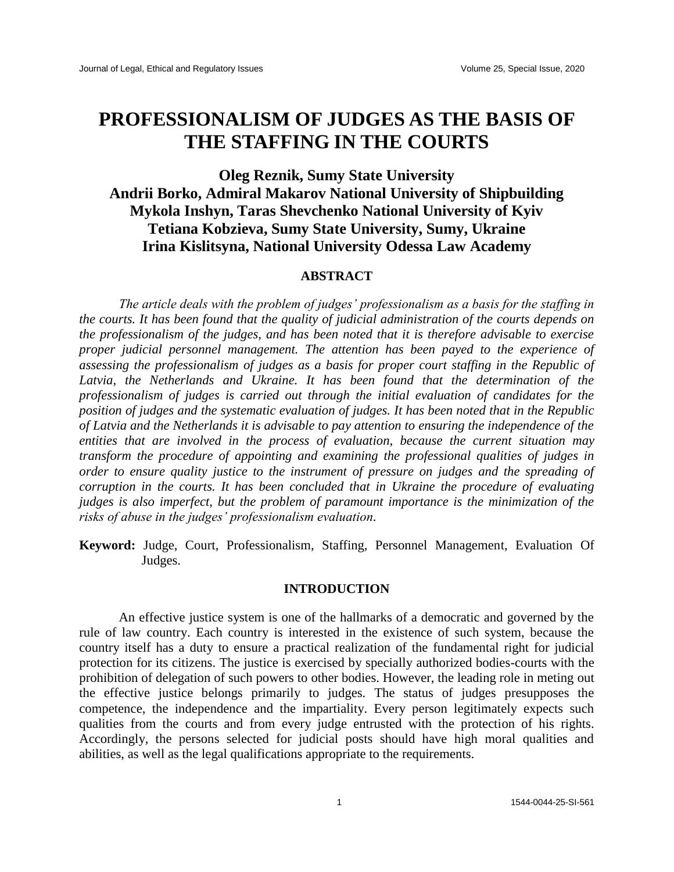# **PROFESSIONALISM OF JUDGES AS THE BASIS OF THE STAFFING IN THE COURTS**

# **Oleg Reznik, Sumy State University Andrii Borko, Admiral Makarov National University of Shipbuilding Mykola Inshyn, Taras Shevchenko National University of Kyiv Tetiana Kobzieva, Sumy State University, Sumy, Ukraine Irina Kislitsyna, National University Odessa Law Academy**

### **ABSTRACT**

*The article deals with the problem of judges' professionalism as a basis for the staffing in the courts. It has been found that the quality of judicial administration of the courts depends on the professionalism of the judges, and has been noted that it is therefore advisable to exercise proper judicial personnel management. The attention has been payed to the experience of assessing the professionalism of judges as a basis for proper court staffing in the Republic of Latvia, the Netherlands and Ukraine. It has been found that the determination of the professionalism of judges is carried out through the initial evaluation of candidates for the position of judges and the systematic evaluation of judges. It has been noted that in the Republic of Latvia and the Netherlands it is advisable to pay attention to ensuring the independence of the entities that are involved in the process of evaluation, because the current situation may transform the procedure of appointing and examining the professional qualities of judges in order to ensure quality justice to the instrument of pressure on judges and the spreading of corruption in the courts. It has been concluded that in Ukraine the procedure of evaluating judges is also imperfect, but the problem of paramount importance is the minimization of the risks of abuse in the judges' professionalism evaluation.*

**Keyword:** Judge, Court, Professionalism, Staffing, Personnel Management, Evaluation Of Judges.

### **INTRODUCTION**

An effective justice system is one of the hallmarks of a democratic and governed by the rule of law country. Each country is interested in the existence of such system, because the country itself has a duty to ensure a practical realization of the fundamental right for judicial protection for its citizens. The justice is exercised by specially authorized bodies-courts with the prohibition of delegation of such powers to other bodies. However, the leading role in meting out the effective justice belongs primarily to judges. The status of judges presupposes the competence, the independence and the impartiality. Every person legitimately expects such qualities from the courts and from every judge entrusted with the protection of his rights. Accordingly, the persons selected for judicial posts should have high moral qualities and abilities, as well as the legal qualifications appropriate to the requirements.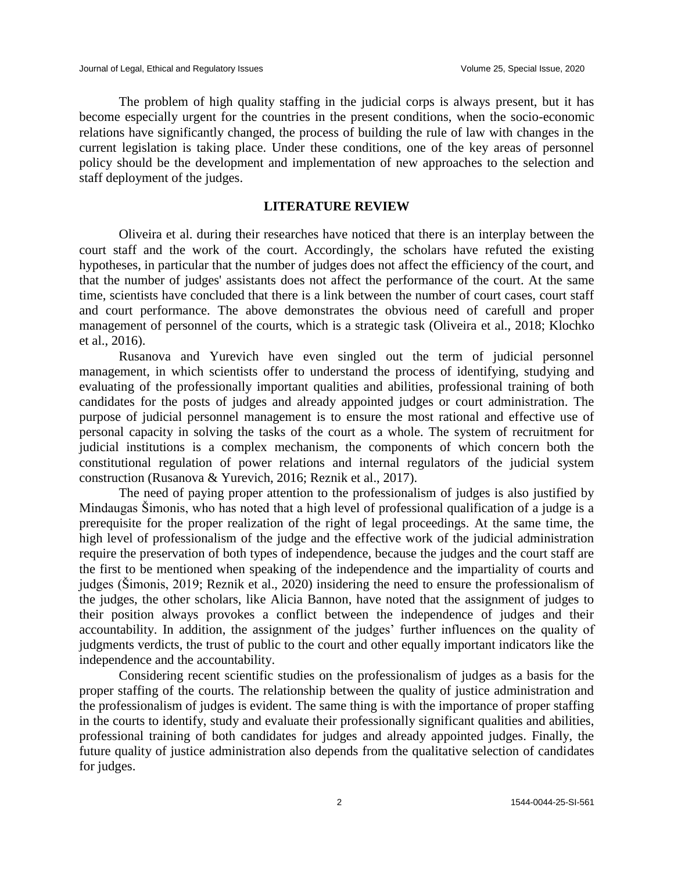The problem of high quality staffing in the judicial corps is always present, but it has become especially urgent for the countries in the present conditions, when the socio-economic relations have significantly changed, the process of building the rule of law with changes in the current legislation is taking place. Under these conditions, one of the key areas of personnel policy should be the development and implementation of new approaches to the selection and staff deployment of the judges.

#### **LITERATURE REVIEW**

Oliveira et al. during their researches have noticed that there is an interplay between the court staff and the work of the court. Accordingly, the scholars have refuted the existing hypotheses, in particular that the number of judges does not affect the efficiency of the court, and that the number of judges' assistants does not affect the performance of the court. At the same time, scientists have concluded that there is a link between the number of court cases, court staff and court performance. The above demonstrates the obvious need of carefull and proper management of personnel of the courts, which is a strategic task (Oliveira et al., 2018; Klochko et al., 2016).

Rusanova and Yurevich have even singled out the term of judicial personnel management, in which scientists offer to understand the process of identifying, studying and evaluating of the professionally important qualities and abilities, professional training of both candidates for the posts of judges and already appointed judges or court administration. The purpose of judicial personnel management is to ensure the most rational and effective use of personal capacity in solving the tasks of the court as a whole. The system of recruitment for judicial institutions is a complex mechanism, the components of which concern both the constitutional regulation of power relations and internal regulators of the judicial system construction (Rusanova & Yurevich, 2016; Reznik et al., 2017).

The need of paying proper attention to the professionalism of judges is also justified by Mindaugas Šimonis, who has noted that a high level of professional qualification of a judge is a prerequisite for the proper realization of the right of legal proceedings. At the same time, the high level of professionalism of the judge and the effective work of the judicial administration require the preservation of both types of independence, because the judges and the court staff are the first to be mentioned when speaking of the independence and the impartiality of courts and judges (Šimonis, 2019; Reznik et al., 2020) insidering the need to ensure the professionalism of the judges, the other scholars, like Alicia Bannon, have noted that the assignment of judges to their position always provokes a conflict between the independence of judges and their accountability. In addition, the assignment of the judges' further influences on the quality of judgments verdicts, the trust of public to the court and other equally important indicators like the independence and the accountability.

Considering recent scientific studies on the professionalism of judges as a basis for the proper staffing of the courts. The relationship between the quality of justice administration and the professionalism of judges is evident. The same thing is with the importance of proper staffing in the courts to identify, study and evaluate their professionally significant qualities and abilities, professional training of both candidates for judges and already appointed judges. Finally, the future quality of justice administration also depends from the qualitative selection of candidates for judges.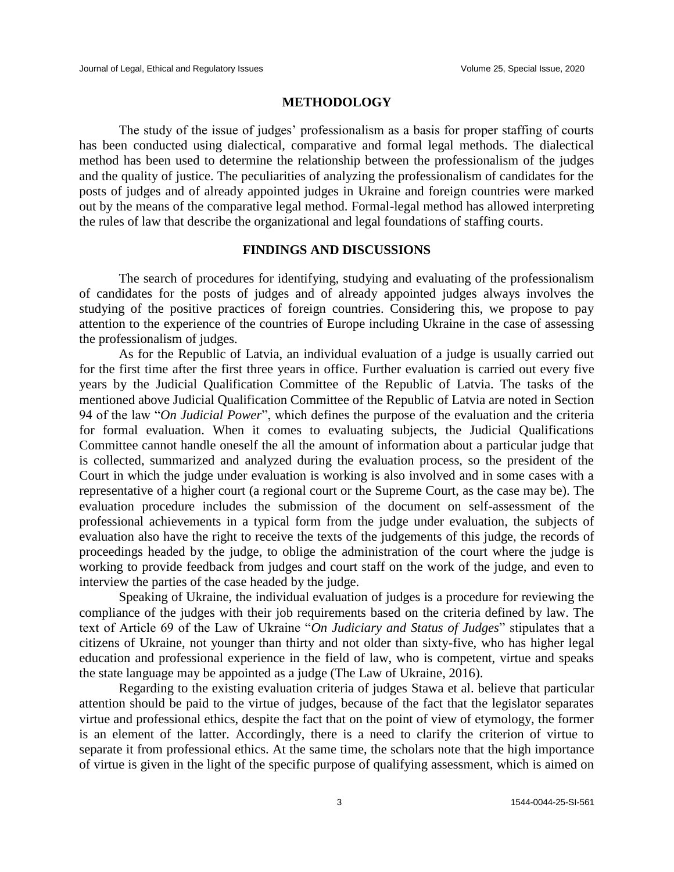### **METHODOLOGY**

The study of the issue of judges' professionalism as a basis for proper staffing of courts has been conducted using dialectical, comparative and formal legal methods. The dialectical method has been used to determine the relationship between the professionalism of the judges and the quality of justice. The peculiarities of analyzing the professionalism of candidates for the posts of judges and of already appointed judges in Ukraine and foreign countries were marked out by the means of the comparative legal method. Formal-legal method has allowed interpreting the rules of law that describe the organizational and legal foundations of staffing courts.

# **FINDINGS AND DISCUSSIONS**

The search of procedures for identifying, studying and evaluating of the professionalism of candidates for the posts of judges and of already appointed judges always involves the studying of the positive practices of foreign countries. Considering this, we propose to pay attention to the experience of the countries of Europe including Ukraine in the case of assessing the professionalism of judges.

As for the Republic of Latvia, an individual evaluation of a judge is usually carried out for the first time after the first three years in office. Further evaluation is carried out every five years by the Judicial Qualification Committee of the Republic of Latvia. The tasks of the mentioned above Judicial Qualification Committee of the Republic of Latvia are noted in Section 94 of the law "*On Judicial Power*", which defines the purpose of the evaluation and the criteria for formal evaluation. When it comes to evaluating subjects, the Judicial Qualifications Committee cannot handle oneself the all the amount of information about a particular judge that is collected, summarized and analyzed during the evaluation process, so the president of the Court in which the judge under evaluation is working is also involved and in some cases with a representative of a higher court (a regional court or the Supreme Court, as the case may be). The evaluation procedure includes the submission of the document on self-assessment of the professional achievements in a typical form from the judge under evaluation, the subjects of evaluation also have the right to receive the texts of the judgements of this judge, the records of proceedings headed by the judge, to oblige the administration of the court where the judge is working to provide feedback from judges and court staff on the work of the judge, and even to interview the parties of the case headed by the judge.

Speaking of Ukraine, the individual evaluation of judges is a procedure for reviewing the compliance of the judges with their job requirements based on the criteria defined by law. The text of Article 69 of the Law of Ukraine "*On Judiciary and Status of Judges*" stipulates that a citizens of Ukraine, not younger than thirty and not older than sixty-five, who has higher legal education and professional experience in the field of law, who is competent, virtue and speaks the state language may be appointed as a judge (The Law of Ukraine, 2016).

Regarding to the existing evaluation criteria of judges Stawa et al. believe that particular attention should be paid to the virtue of judges, because of the fact that the legislator separates virtue and professional ethics, despite the fact that on the point of view of etymology, the former is an element of the latter. Accordingly, there is a need to clarify the criterion of virtue to separate it from professional ethics. At the same time, the scholars note that the high importance of virtue is given in the light of the specific purpose of qualifying assessment, which is aimed on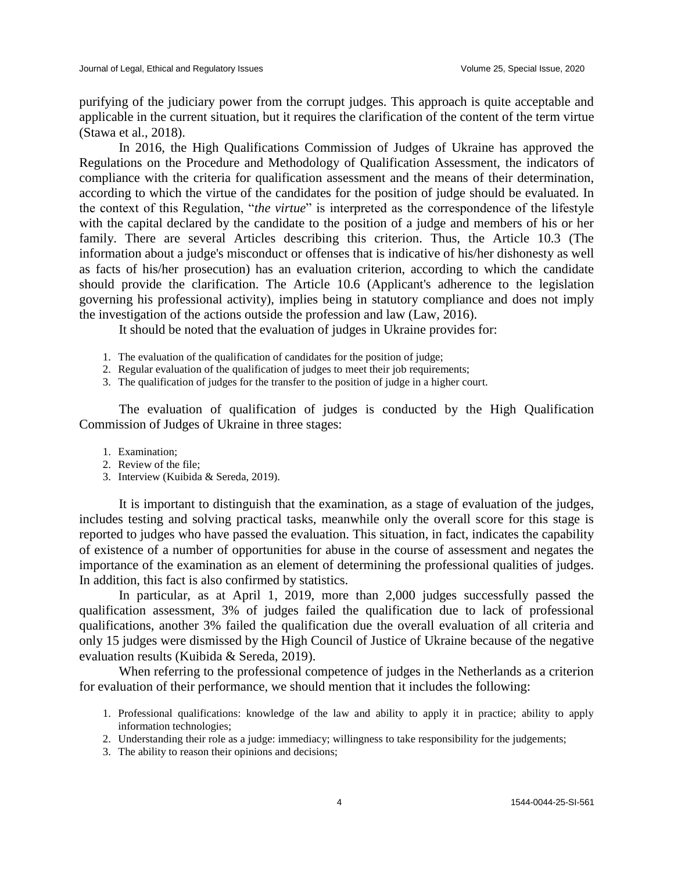purifying of the judiciary power from the corrupt judges. This approach is quite acceptable and applicable in the current situation, but it requires the clarification of the content of the term virtue (Stawa et al., 2018).

In 2016, the High Qualifications Commission of Judges of Ukraine has approved the Regulations on the Procedure and Methodology of Qualification Assessment, the indicators of compliance with the criteria for qualification assessment and the means of their determination, according to which the virtue of the candidates for the position of judge should be evaluated. In the context of this Regulation, "*the virtue*" is interpreted as the correspondence of the lifestyle with the capital declared by the candidate to the position of a judge and members of his or her family. There are several Articles describing this criterion. Thus, the Article 10.3 (The information about a judge's misconduct or offenses that is indicative of his/her dishonesty as well as facts of his/her prosecution) has an evaluation criterion, according to which the candidate should provide the clarification. The Article 10.6 (Applicant's adherence to the legislation governing his professional activity), implies being in statutory compliance and does not imply the investigation of the actions outside the profession and law (Law, 2016).

It should be noted that the evaluation of judges in Ukraine provides for:

- 1. The evaluation of the qualification of candidates for the position of judge;
- 2. Regular evaluation of the qualification of judges to meet their job requirements;
- 3. The qualification of judges for the transfer to the position of judge in a higher court.

The evaluation of qualification of judges is conducted by the High Qualification Commission of Judges of Ukraine in three stages:

- 1. Examination;
- 2. Review of the file;
- 3. Interview (Kuibida & Sereda, 2019).

It is important to distinguish that the examination, as a stage of evaluation of the judges, includes testing and solving practical tasks, meanwhile only the overall score for this stage is reported to judges who have passed the evaluation. This situation, in fact, indicates the capability of existence of a number of opportunities for abuse in the course of assessment and negates the importance of the examination as an element of determining the professional qualities of judges. In addition, this fact is also confirmed by statistics.

In particular, as at April 1, 2019, more than 2,000 judges successfully passed the qualification assessment, 3% of judges failed the qualification due to lack of professional qualifications, another 3% failed the qualification due the overall evaluation of all criteria and only 15 judges were dismissed by the High Council of Justice of Ukraine because of the negative evaluation results (Kuibida & Sereda, 2019).

When referring to the professional competence of judges in the Netherlands as a criterion for evaluation of their performance, we should mention that it includes the following:

- 1. Professional qualifications: knowledge of the law and ability to apply it in practice; ability to apply information technologies;
- 2. Understanding their role as a judge: immediacy; willingness to take responsibility for the judgements;
- 3. The ability to reason their opinions and decisions;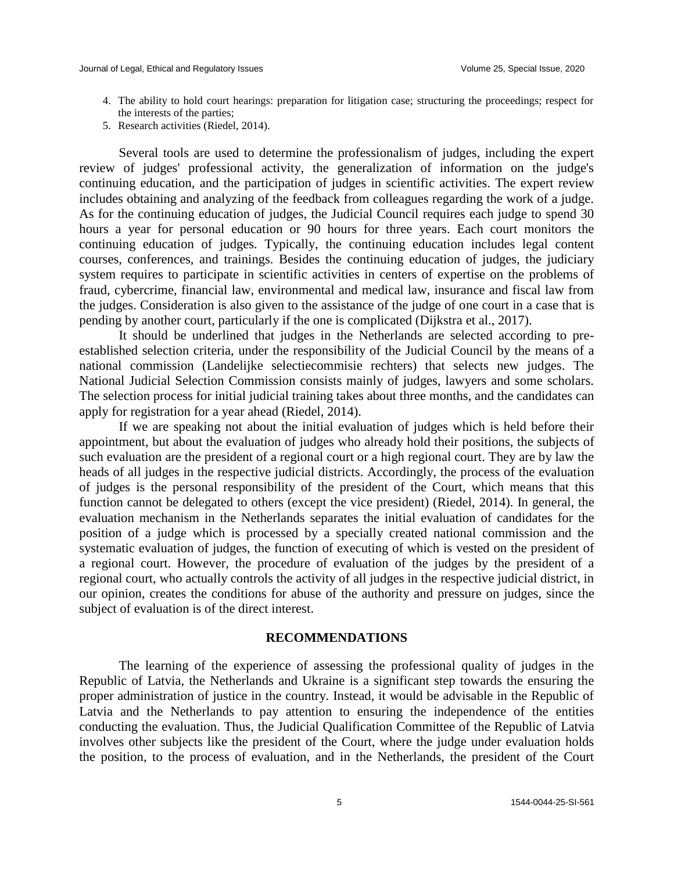- 4. The ability to hold court hearings: preparation for litigation case; structuring the proceedings; respect for the interests of the parties;
- 5. Research activities (Riedel, 2014).

Several tools are used to determine the professionalism of judges, including the expert review of judges' professional activity, the generalization of information on the judge's continuing education, and the participation of judges in scientific activities. The expert review includes obtaining and analyzing of the feedback from colleagues regarding the work of a judge. As for the continuing education of judges, the Judicial Council requires each judge to spend 30 hours a year for personal education or 90 hours for three years. Each court monitors the continuing education of judges. Typically, the continuing education includes legal content courses, conferences, and trainings. Besides the continuing education of judges, the judiciary system requires to participate in scientific activities in centers of expertise on the problems of fraud, cybercrime, financial law, environmental and medical law, insurance and fiscal law from the judges. Consideration is also given to the assistance of the judge of one court in a case that is pending by another court, particularly if the one is complicated (Dijkstra et al., 2017).

It should be underlined that judges in the Netherlands are selected according to preestablished selection criteria, under the responsibility of the Judicial Council by the means of a national commission (Landelijke selectiecommisie rechters) that selects new judges. The National Judicial Selection Commission consists mainly of judges, lawyers and some scholars. The selection process for initial judicial training takes about three months, and the candidates can apply for registration for a year ahead (Riedel, 2014).

If we are speaking not about the initial evaluation of judges which is held before their appointment, but about the evaluation of judges who already hold their positions, the subjects of such evaluation are the president of a regional court or a high regional court. They are by law the heads of all judges in the respective judicial districts. Accordingly, the process of the evaluation of judges is the personal responsibility of the president of the Court, which means that this function cannot be delegated to others (except the vice president) (Riedel, 2014). In general, the evaluation mechanism in the Netherlands separates the initial evaluation of candidates for the position of a judge which is processed by a specially created national commission and the systematic evaluation of judges, the function of executing of which is vested on the president of a regional court. However, the procedure of evaluation of the judges by the president of a regional court, who actually controls the activity of all judges in the respective judicial district, in our opinion, creates the conditions for abuse of the authority and pressure on judges, since the subject of evaluation is of the direct interest.

#### **RECOMMENDATIONS**

The learning of the experience of assessing the professional quality of judges in the Republic of Latvia, the Netherlands and Ukraine is a significant step towards the ensuring the proper administration of justice in the country. Instead, it would be advisable in the Republic of Latvia and the Netherlands to pay attention to ensuring the independence of the entities conducting the evaluation. Thus, the Judicial Qualification Committee of the Republic of Latvia involves other subjects like the president of the Court, where the judge under evaluation holds the position, to the process of evaluation, and in the Netherlands, the president of the Court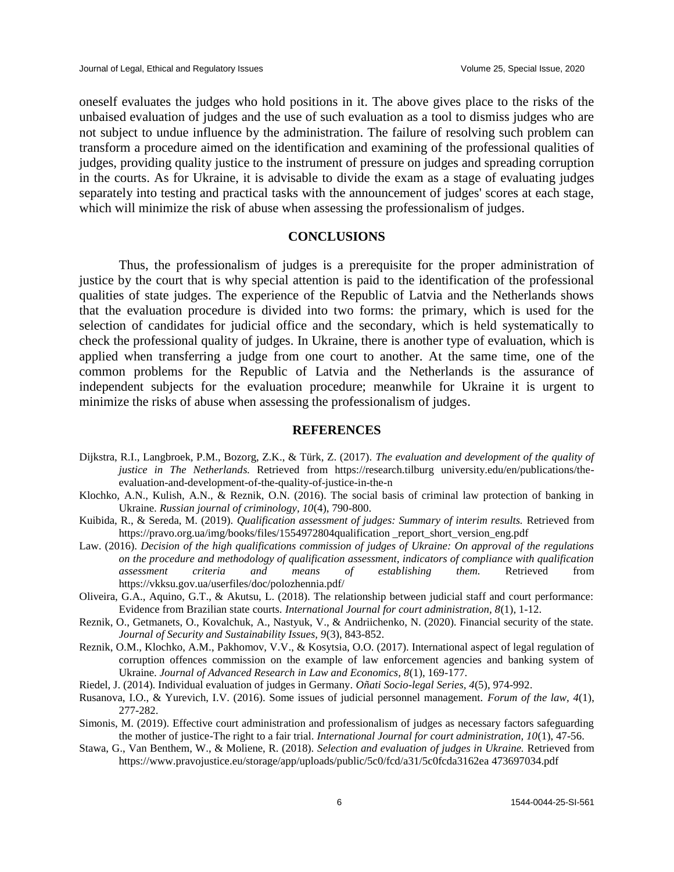oneself evaluates the judges who hold positions in it. The above gives place to the risks of the unbaised evaluation of judges and the use of such evaluation as a tool to dismiss judges who are not subject to undue influence by the administration. The failure of resolving such problem can transform a procedure aimed on the identification and examining of the professional qualities of judges, providing quality justice to the instrument of pressure on judges and spreading corruption in the courts. As for Ukraine, it is advisable to divide the exam as a stage of evaluating judges separately into testing and practical tasks with the announcement of judges' scores at each stage, which will minimize the risk of abuse when assessing the professionalism of judges.

# **CONCLUSIONS**

Thus, the professionalism of judges is a prerequisite for the proper administration of justice by the court that is why special attention is paid to the identification of the professional qualities of state judges. The experience of the Republic of Latvia and the Netherlands shows that the evaluation procedure is divided into two forms: the primary, which is used for the selection of candidates for judicial office and the secondary, which is held systematically to check the professional quality of judges. In Ukraine, there is another type of evaluation, which is applied when transferring a judge from one court to another. At the same time, one of the common problems for the Republic of Latvia and the Netherlands is the assurance of independent subjects for the evaluation procedure; meanwhile for Ukraine it is urgent to minimize the risks of abuse when assessing the professionalism of judges.

#### **REFERENCES**

- Dijkstra, R.I., Langbroek, P.M., Bozorg, Z.K., & Türk, Z. (2017). *The evaluation and development of the quality of justice in The Netherlands*. Retrieved from https://research.tilburg university.edu/en/publications/theevaluation-and-development-of-the-quality-of-justice-in-the-n
- Klochko, A.N., Kulish, A.N., & Reznik, O.N. (2016). The social basis of criminal law protection of banking in Ukraine. *Russian journal of criminology, 10*(4), 790-800.
- Kuibida, R., & Sereda, M. (2019). *Qualification assessment of judges: Summary of interim results.* Retrieved from https://pravo.org.ua/img/books/files/1554972804qualification \_report\_short\_version\_eng.pdf
- Law. (2016). *Decision of the high qualifications commission of judges of Ukraine: On approval of the regulations on the procedure and methodology of qualification assessment, indicators of compliance with qualification assessment criteria and means of establishing them.* Retrieved from https://vkksu.gov.ua/userfiles/doc/polozhennia.pdf/
- Oliveira, G.A., Aquino, G.T., & Akutsu, L. (2018). The relationship between judicial staff and court performance: Evidence from Brazilian state courts. *International Journal for court administration, 8*(1), 1-12.
- Reznik, O., Getmanets, O., Kovalchuk, A., Nastyuk, V., & Andriichenko, N. (2020). Financial security of the state. *Journal of Security and Sustainability Issues, 9*(3), 843-852.
- Reznik, O.M., Klochko, A.M., Pakhomov, V.V., & Kosytsia, O.O. (2017). International aspect of legal regulation of corruption offences commission on the example of law enforcement agencies and banking system of Ukraine. *Journal of Advanced Research in Law and Economics, 8*(1), 169-177.
- Riedel, J. (2014). Individual evaluation of judges in Germany. *Oñati Socio-legal Series, 4*(5), 974-992.
- Rusanova, I.O., & Yurevich, I.V. (2016). Some issues of judicial personnel management. *Forum of the law, 4*(1), 277-282.
- Simonis, M. (2019). Effective court administration and professionalism of judges as necessary factors safeguarding the mother of justice-The right to a fair trial. *International Journal for court administration, 10*(1), 47-56.
- Stawa, G., Van Benthem, W., & Moliene, R. (2018). *Selection and evaluation of judges in Ukraine.* Retrieved from https://www.pravojustice.eu/storage/app/uploads/public/5c0/fcd/a31/5c0fcda3162ea 473697034.pdf